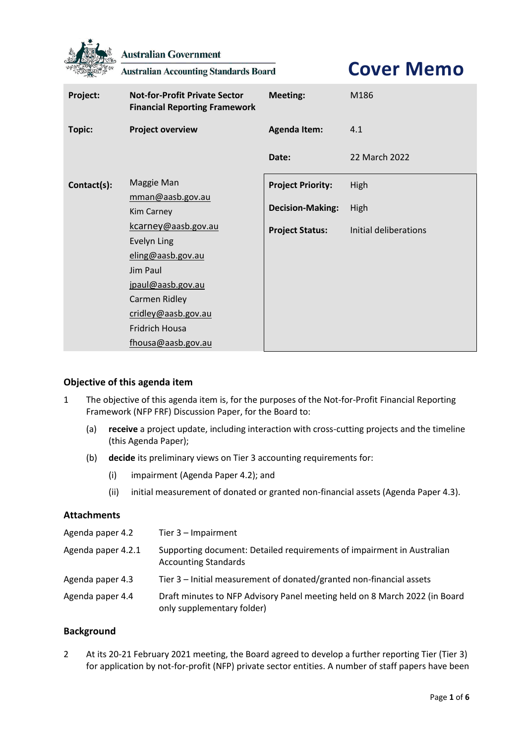

**Australian Government** 

**Australian Accounting Standards Board** 

# **Cover Memo**

| Project:    | <b>Not-for-Profit Private Sector</b><br><b>Financial Reporting Framework</b>                                                                                                           | <b>Meeting:</b>          | M186                  |
|-------------|----------------------------------------------------------------------------------------------------------------------------------------------------------------------------------------|--------------------------|-----------------------|
| Topic:      | <b>Project overview</b>                                                                                                                                                                | <b>Agenda Item:</b>      | 4.1                   |
|             |                                                                                                                                                                                        | Date:                    | 22 March 2022         |
| Contact(s): | Maggie Man                                                                                                                                                                             | <b>Project Priority:</b> | High                  |
|             | mman@aasb.gov.au<br>Kim Carney                                                                                                                                                         | <b>Decision-Making:</b>  | High                  |
|             | kcarney@aasb.gov.au<br><b>Evelyn Ling</b><br>eling@aasb.gov.au<br>Jim Paul<br>jpaul@aasb.gov.au<br>Carmen Ridley<br>cridley@aasb.gov.au<br><b>Fridrich Housa</b><br>fhousa@aasb.gov.au | <b>Project Status:</b>   | Initial deliberations |

# **Objective of this agenda item**

- 1 The objective of this agenda item is, for the purposes of the Not-for-Profit Financial Reporting Framework (NFP FRF) Discussion Paper, for the Board to:
	- (a) **receive** a project update, including interaction with cross-cutting projects and the timeline (this Agenda Paper);
	- (b) **decide** its preliminary views on Tier 3 accounting requirements for:
		- (i) impairment (Agenda Paper 4.2); and
		- (ii) initial measurement of donated or granted non-financial assets (Agenda Paper 4.3).

#### **Attachments**

| Agenda paper 4.2   | Tier $3$ – Impairment                                                                                    |
|--------------------|----------------------------------------------------------------------------------------------------------|
| Agenda paper 4.2.1 | Supporting document: Detailed requirements of impairment in Australian<br><b>Accounting Standards</b>    |
| Agenda paper 4.3   | Tier 3 – Initial measurement of donated/granted non-financial assets                                     |
| Agenda paper 4.4   | Draft minutes to NFP Advisory Panel meeting held on 8 March 2022 (in Board<br>only supplementary folder) |

## **Background**

2 At its 20-21 February 2021 meeting, the Board agreed to develop a further reporting Tier (Tier 3) for application by not-for-profit (NFP) private sector entities. A number of staff papers have been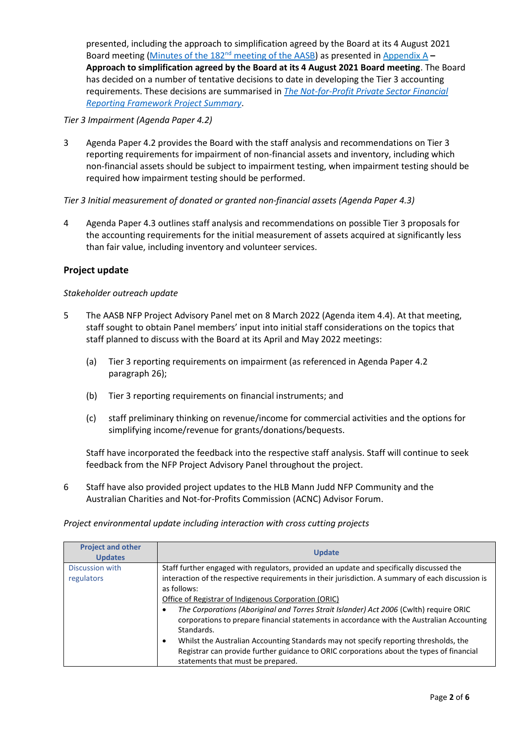presented, including the approach to simplification agreed by the Board at its 4 August 2021 Board meeting (Minutes of the 182nd [meeting of the AASB\)](https://aasb.gov.au/media/fsblvmin/aasbapprovedminutesm182_4aug21.pdf) as presented in [Appendix A](#page-5-0) **– [Approach to simplification agreed by the Board at its 4 August 2021 Board meeting](#page-5-0)**. The Board has decided on a number of tentative decisions to date in developing the Tier 3 accounting requirements. These decisions are summarised in *[The Not-for-Profit Private Sector Financial](https://aasb.gov.au/media/q5tnhuqy/ps_afr-nfp_03-01.pdf)  [Reporting Framework Project](https://aasb.gov.au/media/q5tnhuqy/ps_afr-nfp_03-01.pdf) Summary*.

## *Tier 3 Impairment (Agenda Paper 4.2)*

3 Agenda Paper 4.2 provides the Board with the staff analysis and recommendations on Tier 3 reporting requirements for impairment of non-financial assets and inventory, including which non-financial assets should be subject to impairment testing, when impairment testing should be required how impairment testing should be performed.

# *Tier 3 Initial measurement of donated or granted non-financial assets (Agenda Paper 4.3)*

4 Agenda Paper 4.3 outlines staff analysis and recommendations on possible Tier 3 proposals for the accounting requirements for the initial measurement of assets acquired at significantly less than fair value, including inventory and volunteer services.

# **Project update**

#### *Stakeholder outreach update*

- 5 The AASB NFP Project Advisory Panel met on 8 March 2022 (Agenda item 4.4). At that meeting, staff sought to obtain Panel members' input into initial staff considerations on the topics that staff planned to discuss with the Board at its April and May 2022 meetings:
	- (a) Tier 3 reporting requirements on impairment (as referenced in Agenda Paper 4.2 paragraph 26);
	- (b) Tier 3 reporting requirements on financial instruments; and
	- (c) staff preliminary thinking on revenue/income for commercial activities and the options for simplifying income/revenue for grants/donations/bequests.

Staff have incorporated the feedback into the respective staff analysis. Staff will continue to seek feedback from the NFP Project Advisory Panel throughout the project.

6 Staff have also provided project updates to the HLB Mann Judd NFP Community and the Australian Charities and Not-for-Profits Commission (ACNC) Advisor Forum.

#### *Project environmental update including interaction with cross cutting projects*

| <b>Project and other</b><br><b>Updates</b> | <b>Update</b>                                                                                                                                                                                                                      |
|--------------------------------------------|------------------------------------------------------------------------------------------------------------------------------------------------------------------------------------------------------------------------------------|
| Discussion with                            | Staff further engaged with regulators, provided an update and specifically discussed the                                                                                                                                           |
| regulators                                 | interaction of the respective requirements in their jurisdiction. A summary of each discussion is                                                                                                                                  |
|                                            | as follows:                                                                                                                                                                                                                        |
|                                            | Office of Registrar of Indigenous Corporation (ORIC)                                                                                                                                                                               |
|                                            | The Corporations (Aboriginal and Torres Strait Islander) Act 2006 (Cwlth) require ORIC<br>corporations to prepare financial statements in accordance with the Australian Accounting<br>Standards.                                  |
|                                            | Whilst the Australian Accounting Standards may not specify reporting thresholds, the<br>$\bullet$<br>Registrar can provide further guidance to ORIC corporations about the types of financial<br>statements that must be prepared. |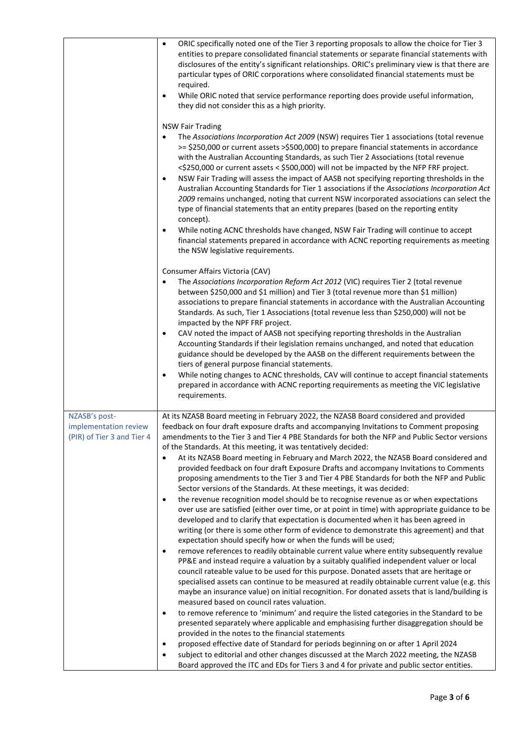|                                                                      | ORIC specifically noted one of the Tier 3 reporting proposals to allow the choice for Tier 3<br>$\bullet$<br>entities to prepare consolidated financial statements or separate financial statements with<br>disclosures of the entity's significant relationships. ORIC's preliminary view is that there are<br>particular types of ORIC corporations where consolidated financial statements must be<br>required.<br>While ORIC noted that service performance reporting does provide useful information,<br>٠<br>they did not consider this as a high priority.                                                                                                                                                                                                                                                                                                                                                                                                                                                                                                                                                                                                                                                                                                                                                                                                                                                                                                                                                                                                                                                                                                                                                                                                                                                                                                                                                                                                                                                                                                                                                                                                                                                                                                    |
|----------------------------------------------------------------------|----------------------------------------------------------------------------------------------------------------------------------------------------------------------------------------------------------------------------------------------------------------------------------------------------------------------------------------------------------------------------------------------------------------------------------------------------------------------------------------------------------------------------------------------------------------------------------------------------------------------------------------------------------------------------------------------------------------------------------------------------------------------------------------------------------------------------------------------------------------------------------------------------------------------------------------------------------------------------------------------------------------------------------------------------------------------------------------------------------------------------------------------------------------------------------------------------------------------------------------------------------------------------------------------------------------------------------------------------------------------------------------------------------------------------------------------------------------------------------------------------------------------------------------------------------------------------------------------------------------------------------------------------------------------------------------------------------------------------------------------------------------------------------------------------------------------------------------------------------------------------------------------------------------------------------------------------------------------------------------------------------------------------------------------------------------------------------------------------------------------------------------------------------------------------------------------------------------------------------------------------------------------|
|                                                                      | <b>NSW Fair Trading</b><br>The Associations Incorporation Act 2009 (NSW) requires Tier 1 associations (total revenue<br>$\bullet$<br>>= \$250,000 or current assets >\$500,000) to prepare financial statements in accordance<br>with the Australian Accounting Standards, as such Tier 2 Associations (total revenue<br><\$250,000 or current assets < \$500,000) will not be impacted by the NFP FRF project.<br>NSW Fair Trading will assess the impact of AASB not specifying reporting thresholds in the<br>$\bullet$<br>Australian Accounting Standards for Tier 1 associations if the Associations Incorporation Act<br>2009 remains unchanged, noting that current NSW incorporated associations can select the<br>type of financial statements that an entity prepares (based on the reporting entity<br>concept).<br>While noting ACNC thresholds have changed, NSW Fair Trading will continue to accept<br>٠<br>financial statements prepared in accordance with ACNC reporting requirements as meeting<br>the NSW legislative requirements.                                                                                                                                                                                                                                                                                                                                                                                                                                                                                                                                                                                                                                                                                                                                                                                                                                                                                                                                                                                                                                                                                                                                                                                                              |
|                                                                      | Consumer Affairs Victoria (CAV)<br>The Associations Incorporation Reform Act 2012 (VIC) requires Tier 2 (total revenue<br>$\bullet$<br>between \$250,000 and \$1 million) and Tier 3 (total revenue more than \$1 million)<br>associations to prepare financial statements in accordance with the Australian Accounting<br>Standards. As such, Tier 1 Associations (total revenue less than \$250,000) will not be<br>impacted by the NPF FRF project.<br>CAV noted the impact of AASB not specifying reporting thresholds in the Australian<br>$\bullet$<br>Accounting Standards if their legislation remains unchanged, and noted that education<br>guidance should be developed by the AASB on the different requirements between the<br>tiers of general purpose financial statements.<br>While noting changes to ACNC thresholds, CAV will continue to accept financial statements<br>$\bullet$<br>prepared in accordance with ACNC reporting requirements as meeting the VIC legislative<br>requirements.                                                                                                                                                                                                                                                                                                                                                                                                                                                                                                                                                                                                                                                                                                                                                                                                                                                                                                                                                                                                                                                                                                                                                                                                                                                      |
| NZASB's post-<br>implementation review<br>(PIR) of Tier 3 and Tier 4 | At its NZASB Board meeting in February 2022, the NZASB Board considered and provided<br>feedback on four draft exposure drafts and accompanying Invitations to Comment proposing<br>amendments to the Tier 3 and Tier 4 PBE Standards for both the NFP and Public Sector versions<br>of the Standards. At this meeting, it was tentatively decided:<br>At its NZASB Board meeting in February and March 2022, the NZASB Board considered and<br>٠<br>provided feedback on four draft Exposure Drafts and accompany Invitations to Comments<br>proposing amendments to the Tier 3 and Tier 4 PBE Standards for both the NFP and Public<br>Sector versions of the Standards. At these meetings, it was decided:<br>the revenue recognition model should be to recognise revenue as or when expectations<br>$\bullet$<br>over use are satisfied (either over time, or at point in time) with appropriate guidance to be<br>developed and to clarify that expectation is documented when it has been agreed in<br>writing (or there is some other form of evidence to demonstrate this agreement) and that<br>expectation should specify how or when the funds will be used;<br>remove references to readily obtainable current value where entity subsequently revalue<br>٠<br>PP&E and instead require a valuation by a suitably qualified independent valuer or local<br>council rateable value to be used for this purpose. Donated assets that are heritage or<br>specialised assets can continue to be measured at readily obtainable current value (e.g. this<br>maybe an insurance value) on initial recognition. For donated assets that is land/building is<br>measured based on council rates valuation.<br>to remove reference to 'minimum' and require the listed categories in the Standard to be<br>٠<br>presented separately where applicable and emphasising further disaggregation should be<br>provided in the notes to the financial statements<br>proposed effective date of Standard for periods beginning on or after 1 April 2024<br>$\bullet$<br>subject to editorial and other changes discussed at the March 2022 meeting, the NZASB<br>$\bullet$<br>Board approved the ITC and EDs for Tiers 3 and 4 for private and public sector entities. |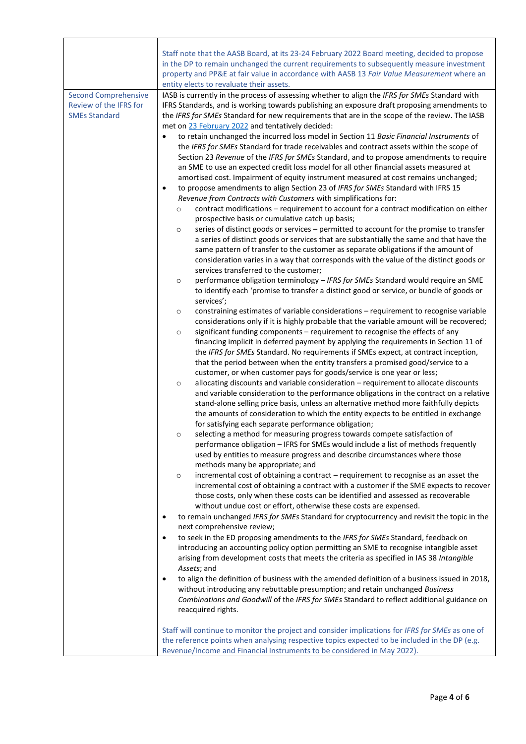|                                                                               | Staff note that the AASB Board, at its 23-24 February 2022 Board meeting, decided to propose                                                                                                                                                                                                                                                                                                                                                                                                                                                                                                                                                                                                                                                                                                                                                                                                                                                                                                                                                                                                                                                                                                                                                                                                                                                                                                                                                                                                                                                                                                                                                                                                                                                                                                                                                                                                                                                                                                                                                                                                                                                                                                                                                                                                                                                                                                                                                                                                                                                                                                                                                                                                                                                                                                                                                                                                                                                                                                                                |
|-------------------------------------------------------------------------------|-----------------------------------------------------------------------------------------------------------------------------------------------------------------------------------------------------------------------------------------------------------------------------------------------------------------------------------------------------------------------------------------------------------------------------------------------------------------------------------------------------------------------------------------------------------------------------------------------------------------------------------------------------------------------------------------------------------------------------------------------------------------------------------------------------------------------------------------------------------------------------------------------------------------------------------------------------------------------------------------------------------------------------------------------------------------------------------------------------------------------------------------------------------------------------------------------------------------------------------------------------------------------------------------------------------------------------------------------------------------------------------------------------------------------------------------------------------------------------------------------------------------------------------------------------------------------------------------------------------------------------------------------------------------------------------------------------------------------------------------------------------------------------------------------------------------------------------------------------------------------------------------------------------------------------------------------------------------------------------------------------------------------------------------------------------------------------------------------------------------------------------------------------------------------------------------------------------------------------------------------------------------------------------------------------------------------------------------------------------------------------------------------------------------------------------------------------------------------------------------------------------------------------------------------------------------------------------------------------------------------------------------------------------------------------------------------------------------------------------------------------------------------------------------------------------------------------------------------------------------------------------------------------------------------------------------------------------------------------------------------------------------------------|
|                                                                               | in the DP to remain unchanged the current requirements to subsequently measure investment                                                                                                                                                                                                                                                                                                                                                                                                                                                                                                                                                                                                                                                                                                                                                                                                                                                                                                                                                                                                                                                                                                                                                                                                                                                                                                                                                                                                                                                                                                                                                                                                                                                                                                                                                                                                                                                                                                                                                                                                                                                                                                                                                                                                                                                                                                                                                                                                                                                                                                                                                                                                                                                                                                                                                                                                                                                                                                                                   |
|                                                                               | property and PP&E at fair value in accordance with AASB 13 Fair Value Measurement where an                                                                                                                                                                                                                                                                                                                                                                                                                                                                                                                                                                                                                                                                                                                                                                                                                                                                                                                                                                                                                                                                                                                                                                                                                                                                                                                                                                                                                                                                                                                                                                                                                                                                                                                                                                                                                                                                                                                                                                                                                                                                                                                                                                                                                                                                                                                                                                                                                                                                                                                                                                                                                                                                                                                                                                                                                                                                                                                                  |
|                                                                               | entity elects to revaluate their assets.                                                                                                                                                                                                                                                                                                                                                                                                                                                                                                                                                                                                                                                                                                                                                                                                                                                                                                                                                                                                                                                                                                                                                                                                                                                                                                                                                                                                                                                                                                                                                                                                                                                                                                                                                                                                                                                                                                                                                                                                                                                                                                                                                                                                                                                                                                                                                                                                                                                                                                                                                                                                                                                                                                                                                                                                                                                                                                                                                                                    |
| <b>Second Comprehensive</b><br>Review of the IFRS for<br><b>SMEs Standard</b> | IASB is currently in the process of assessing whether to align the IFRS for SMEs Standard with<br>IFRS Standards, and is working towards publishing an exposure draft proposing amendments to<br>the IFRS for SMEs Standard for new requirements that are in the scope of the review. The IASB<br>met on 23 February 2022 and tentatively decided:<br>to retain unchanged the incurred loss model in Section 11 Basic Financial Instruments of<br>the IFRS for SMEs Standard for trade receivables and contract assets within the scope of<br>Section 23 Revenue of the IFRS for SMEs Standard, and to propose amendments to require<br>an SME to use an expected credit loss model for all other financial assets measured at<br>amortised cost. Impairment of equity instrument measured at cost remains unchanged;<br>to propose amendments to align Section 23 of IFRS for SMEs Standard with IFRS 15<br>٠<br>Revenue from Contracts with Customers with simplifications for:<br>contract modifications - requirement to account for a contract modification on either<br>$\circ$<br>prospective basis or cumulative catch up basis;<br>series of distinct goods or services - permitted to account for the promise to transfer<br>$\circ$<br>a series of distinct goods or services that are substantially the same and that have the<br>same pattern of transfer to the customer as separate obligations if the amount of<br>consideration varies in a way that corresponds with the value of the distinct goods or<br>services transferred to the customer;<br>performance obligation terminology - IFRS for SMEs Standard would require an SME<br>$\circ$<br>to identify each 'promise to transfer a distinct good or service, or bundle of goods or<br>services';<br>constraining estimates of variable considerations - requirement to recognise variable<br>$\circ$<br>considerations only if it is highly probable that the variable amount will be recovered;<br>significant funding components - requirement to recognise the effects of any<br>$\circ$<br>financing implicit in deferred payment by applying the requirements in Section 11 of<br>the IFRS for SMEs Standard. No requirements if SMEs expect, at contract inception,<br>that the period between when the entity transfers a promised good/service to a<br>customer, or when customer pays for goods/service is one year or less;<br>allocating discounts and variable consideration - requirement to allocate discounts<br>$\circ$<br>and variable consideration to the performance obligations in the contract on a relative<br>stand-alone selling price basis, unless an alternative method more faithfully depicts<br>the amounts of consideration to which the entity expects to be entitled in exchange<br>for satisfying each separate performance obligation;<br>selecting a method for measuring progress towards compete satisfaction of<br>O<br>performance obligation - IFRS for SMEs would include a list of methods frequently |
|                                                                               | used by entities to measure progress and describe circumstances where those<br>methods many be appropriate; and<br>incremental cost of obtaining a contract - requirement to recognise as an asset the<br>$\circ$<br>incremental cost of obtaining a contract with a customer if the SME expects to recover<br>those costs, only when these costs can be identified and assessed as recoverable                                                                                                                                                                                                                                                                                                                                                                                                                                                                                                                                                                                                                                                                                                                                                                                                                                                                                                                                                                                                                                                                                                                                                                                                                                                                                                                                                                                                                                                                                                                                                                                                                                                                                                                                                                                                                                                                                                                                                                                                                                                                                                                                                                                                                                                                                                                                                                                                                                                                                                                                                                                                                             |
|                                                                               | without undue cost or effort, otherwise these costs are expensed.<br>to remain unchanged IFRS for SMEs Standard for cryptocurrency and revisit the topic in the<br>٠                                                                                                                                                                                                                                                                                                                                                                                                                                                                                                                                                                                                                                                                                                                                                                                                                                                                                                                                                                                                                                                                                                                                                                                                                                                                                                                                                                                                                                                                                                                                                                                                                                                                                                                                                                                                                                                                                                                                                                                                                                                                                                                                                                                                                                                                                                                                                                                                                                                                                                                                                                                                                                                                                                                                                                                                                                                        |
|                                                                               | next comprehensive review;                                                                                                                                                                                                                                                                                                                                                                                                                                                                                                                                                                                                                                                                                                                                                                                                                                                                                                                                                                                                                                                                                                                                                                                                                                                                                                                                                                                                                                                                                                                                                                                                                                                                                                                                                                                                                                                                                                                                                                                                                                                                                                                                                                                                                                                                                                                                                                                                                                                                                                                                                                                                                                                                                                                                                                                                                                                                                                                                                                                                  |
|                                                                               | to seek in the ED proposing amendments to the IFRS for SMEs Standard, feedback on<br>٠                                                                                                                                                                                                                                                                                                                                                                                                                                                                                                                                                                                                                                                                                                                                                                                                                                                                                                                                                                                                                                                                                                                                                                                                                                                                                                                                                                                                                                                                                                                                                                                                                                                                                                                                                                                                                                                                                                                                                                                                                                                                                                                                                                                                                                                                                                                                                                                                                                                                                                                                                                                                                                                                                                                                                                                                                                                                                                                                      |
|                                                                               | introducing an accounting policy option permitting an SME to recognise intangible asset<br>arising from development costs that meets the criteria as specified in IAS 38 Intangible<br>Assets; and                                                                                                                                                                                                                                                                                                                                                                                                                                                                                                                                                                                                                                                                                                                                                                                                                                                                                                                                                                                                                                                                                                                                                                                                                                                                                                                                                                                                                                                                                                                                                                                                                                                                                                                                                                                                                                                                                                                                                                                                                                                                                                                                                                                                                                                                                                                                                                                                                                                                                                                                                                                                                                                                                                                                                                                                                          |
|                                                                               | to align the definition of business with the amended definition of a business issued in 2018,<br>٠                                                                                                                                                                                                                                                                                                                                                                                                                                                                                                                                                                                                                                                                                                                                                                                                                                                                                                                                                                                                                                                                                                                                                                                                                                                                                                                                                                                                                                                                                                                                                                                                                                                                                                                                                                                                                                                                                                                                                                                                                                                                                                                                                                                                                                                                                                                                                                                                                                                                                                                                                                                                                                                                                                                                                                                                                                                                                                                          |
|                                                                               | without introducing any rebuttable presumption; and retain unchanged Business<br>Combinations and Goodwill of the IFRS for SMEs Standard to reflect additional guidance on<br>reacquired rights.                                                                                                                                                                                                                                                                                                                                                                                                                                                                                                                                                                                                                                                                                                                                                                                                                                                                                                                                                                                                                                                                                                                                                                                                                                                                                                                                                                                                                                                                                                                                                                                                                                                                                                                                                                                                                                                                                                                                                                                                                                                                                                                                                                                                                                                                                                                                                                                                                                                                                                                                                                                                                                                                                                                                                                                                                            |
|                                                                               | Staff will continue to monitor the project and consider implications for IFRS for SMEs as one of                                                                                                                                                                                                                                                                                                                                                                                                                                                                                                                                                                                                                                                                                                                                                                                                                                                                                                                                                                                                                                                                                                                                                                                                                                                                                                                                                                                                                                                                                                                                                                                                                                                                                                                                                                                                                                                                                                                                                                                                                                                                                                                                                                                                                                                                                                                                                                                                                                                                                                                                                                                                                                                                                                                                                                                                                                                                                                                            |
|                                                                               | the reference points when analysing respective topics expected to be included in the DP (e.g.<br>Revenue/Income and Financial Instruments to be considered in May 2022).                                                                                                                                                                                                                                                                                                                                                                                                                                                                                                                                                                                                                                                                                                                                                                                                                                                                                                                                                                                                                                                                                                                                                                                                                                                                                                                                                                                                                                                                                                                                                                                                                                                                                                                                                                                                                                                                                                                                                                                                                                                                                                                                                                                                                                                                                                                                                                                                                                                                                                                                                                                                                                                                                                                                                                                                                                                    |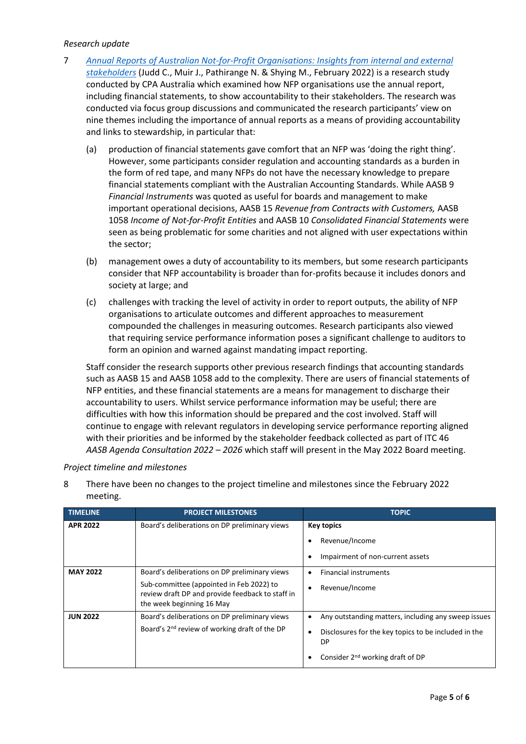### *Research update*

- 7 *[Annual Reports of Australian Not-for-Profit Organisations: Insights from internal and external](https://uwa.us10.list-manage.com/track/click?u=12dc1b6f34543366f3a41dfd5&id=aca43db449&e=aa512e34a4)  [stakeholders](https://uwa.us10.list-manage.com/track/click?u=12dc1b6f34543366f3a41dfd5&id=aca43db449&e=aa512e34a4)* (Judd C., Muir J., Pathirange N. & Shying M., February 2022) is a research study conducted by CPA Australia which examined how NFP organisations use the annual report, including financial statements, to show accountability to their stakeholders. The research was conducted via focus group discussions and communicated the research participants' view on nine themes including the importance of annual reports as a means of providing accountability and links to stewardship, in particular that:
	- (a) production of financial statements gave comfort that an NFP was 'doing the right thing'. However, some participants consider regulation and accounting standards as a burden in the form of red tape, and many NFPs do not have the necessary knowledge to prepare financial statements compliant with the Australian Accounting Standards. While AASB 9 *Financial Instruments* was quoted as useful for boards and management to make important operational decisions, AASB 15 *Revenue from Contracts with Customers,* AASB 1058 *Income of Not-for-Profit Entities* and AASB 10 *Consolidated Financial Statements* were seen as being problematic for some charities and not aligned with user expectations within the sector;
	- (b) management owes a duty of accountability to its members, but some research participants consider that NFP accountability is broader than for-profits because it includes donors and society at large; and
	- (c) challenges with tracking the level of activity in order to report outputs, the ability of NFP organisations to articulate outcomes and different approaches to measurement compounded the challenges in measuring outcomes. Research participants also viewed that requiring service performance information poses a significant challenge to auditors to form an opinion and warned against mandating impact reporting.

Staff consider the research supports other previous research findings that accounting standards such as AASB 15 and AASB 1058 add to the complexity. There are users of financial statements of NFP entities, and these financial statements are a means for management to discharge their accountability to users. Whilst service performance information may be useful; there are difficulties with how this information should be prepared and the cost involved. Staff will continue to engage with relevant regulators in developing service performance reporting aligned with their priorities and be informed by the stakeholder feedback collected as part of ITC 46 *AASB Agenda Consultation 2022 – 2026* which staff will present in the May 2022 Board meeting.

#### *Project timeline and milestones*

| <b>TIMELINE</b> | <b>PROJECT MILESTONES</b>                                                                                                                                                  | <b>TOPIC</b>                                                                                                                                               |
|-----------------|----------------------------------------------------------------------------------------------------------------------------------------------------------------------------|------------------------------------------------------------------------------------------------------------------------------------------------------------|
| <b>APR 2022</b> | Board's deliberations on DP preliminary views                                                                                                                              | <b>Key topics</b><br>Revenue/Income<br>Impairment of non-current assets                                                                                    |
| <b>MAY 2022</b> | Board's deliberations on DP preliminary views<br>Sub-committee (appointed in Feb 2022) to<br>review draft DP and provide feedback to staff in<br>the week beginning 16 May | <b>Financial instruments</b><br>Revenue/Income                                                                                                             |
| <b>JUN 2022</b> | Board's deliberations on DP preliminary views<br>Board's 2 <sup>nd</sup> review of working draft of the DP                                                                 | Any outstanding matters, including any sweep issues<br>Disclosures for the key topics to be included in the<br>DP<br>Consider $2^{nd}$ working draft of DP |

8 There have been no changes to the project timeline and milestones since the February 2022 meeting.